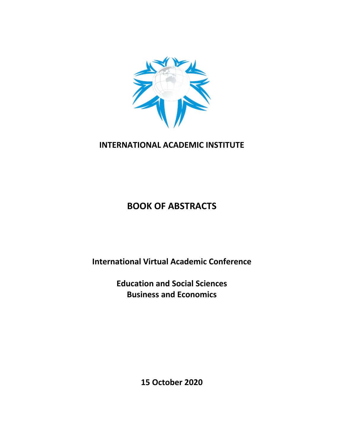

## **INTERNATIONAL ACADEMIC INSTITUTE**

# **BOOK OF ABSTRACTS**

**International Virtual Academic Conference**

**Education and Social Sciences Business and Economics**

**15 October 2020**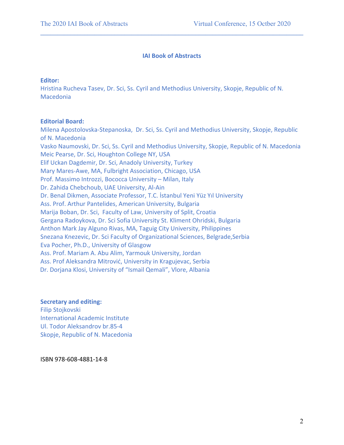### **IAI Book of Abstracts**

 $\mathcal{L}_\mathcal{L} = \{ \mathcal{L}_\mathcal{L} = \{ \mathcal{L}_\mathcal{L} = \{ \mathcal{L}_\mathcal{L} = \{ \mathcal{L}_\mathcal{L} = \{ \mathcal{L}_\mathcal{L} = \{ \mathcal{L}_\mathcal{L} = \{ \mathcal{L}_\mathcal{L} = \{ \mathcal{L}_\mathcal{L} = \{ \mathcal{L}_\mathcal{L} = \{ \mathcal{L}_\mathcal{L} = \{ \mathcal{L}_\mathcal{L} = \{ \mathcal{L}_\mathcal{L} = \{ \mathcal{L}_\mathcal{L} = \{ \mathcal{L}_\mathcal{$ 

#### **Editor:**

Hristina Rucheva Tasev, Dr. Sci, Ss. Cyril and Methodius University, Skopje, Republic of N. Macedonia

#### **Editorial Board:**

Milena Apostolovska-Stepanoska, Dr. Sci, Ss. Cyril and Methodius University, Skopje, Republic of N. Macedonia Vasko Naumovski, Dr. Sci, Ss. Cyril and Methodius University, Skopje, Republic of N. Macedonia Meic Pearse, Dr. Sci, Houghton College NY, USA Elif Uckan Dagdemir, Dr. Sci, Anadoly University, Turkey Mary Mares-Awe, MA, Fulbright Association, Chicago, USA Prof. Massimo Introzzi, Bococca University – Milan, Italy Dr. Zahida Chebchoub, UAE University, Al-Ain Dr. Benal Dikmen, Associate Professor, T.C. İstanbul Yeni Yüz Yıl University Ass. Prof. Arthur Pantelides, American University, Bulgaria Marija Boban, Dr. Sci, Faculty of Law, University of Split, Croatia Gergana Radoykova, Dr. Sci Sofia University St. Kliment Ohridski, Bulgaria Anthon Mark Jay Alguno Rivas, MA, Taguig City University, Philippines Snezana Knezevic, Dr. Sci Faculty of Organizational Sciences, Belgrade,Serbia Eva Pocher, Ph.D., University of Glasgow Ass. Prof. Mariam A. Abu Alim, Yarmouk University, Jordan Ass. Prof Aleksandra Mitrović, University in Kragujevac, Serbia Dr. Dorjana Klosi, University of "Ismail Qemali", Vlore, Albania

### **Secretary and editing:**

Filip Stojkovski International Academic Institute Ul. Todor Aleksandrov br.85-4 Skopje, Republic of N. Macedonia

ISBN 978-608-4881-14-8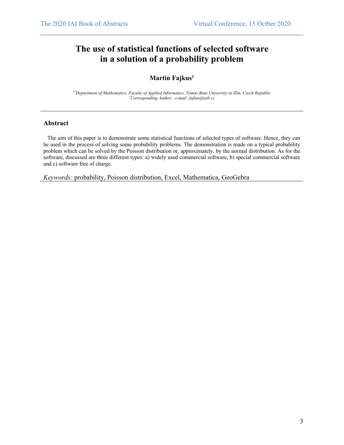## **The use of statistical functions of selected software in a solution of a probability problem**

 $\mathcal{L}_\mathcal{L} = \{ \mathcal{L}_\mathcal{L} = \{ \mathcal{L}_\mathcal{L} = \{ \mathcal{L}_\mathcal{L} = \{ \mathcal{L}_\mathcal{L} = \{ \mathcal{L}_\mathcal{L} = \{ \mathcal{L}_\mathcal{L} = \{ \mathcal{L}_\mathcal{L} = \{ \mathcal{L}_\mathcal{L} = \{ \mathcal{L}_\mathcal{L} = \{ \mathcal{L}_\mathcal{L} = \{ \mathcal{L}_\mathcal{L} = \{ \mathcal{L}_\mathcal{L} = \{ \mathcal{L}_\mathcal{L} = \{ \mathcal{L}_\mathcal{$ 

### **Martin Fajkus1**

*1\*Department of Mathematics, Faculty of Applied Informatics, Tomas Bata University in Zlin, Czech Republic \* Corresponding Author: e-mail: fajkus@utb.cz*

#### **Abstract**

The aim of this paper is to demonstrate some statistical functions of selected types of software. Hence, they can be used in the process of solving some probability problems. The demonstration is made on a typical probability problem which can be solved by the Poisson distribution or, approximately, by the normal distribution. As for the software, discussed are three different types: a) widely used commercial software, b) special commercial software and c) software free of charge.

*Keywords:* probability, Poisson distribution, Excel, Mathematica, GeoGebra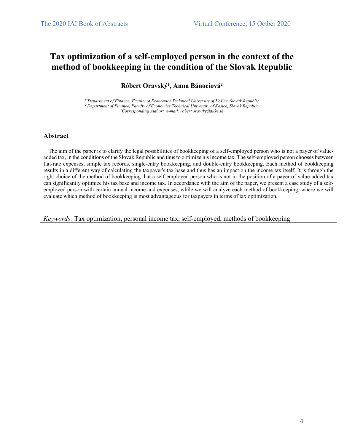## **Tax optimization of a self-employed person in the context of the method of bookkeeping in the condition of the Slovak Republic**

 $\mathcal{L}_\mathcal{L} = \{ \mathcal{L}_\mathcal{L} = \{ \mathcal{L}_\mathcal{L} = \{ \mathcal{L}_\mathcal{L} = \{ \mathcal{L}_\mathcal{L} = \{ \mathcal{L}_\mathcal{L} = \{ \mathcal{L}_\mathcal{L} = \{ \mathcal{L}_\mathcal{L} = \{ \mathcal{L}_\mathcal{L} = \{ \mathcal{L}_\mathcal{L} = \{ \mathcal{L}_\mathcal{L} = \{ \mathcal{L}_\mathcal{L} = \{ \mathcal{L}_\mathcal{L} = \{ \mathcal{L}_\mathcal{L} = \{ \mathcal{L}_\mathcal{$ 

### **Róbert Oravský1 , Anna Bánociová2**

*1\*Department of Finance, Faculty of Economics Technical University of Košice, Slovak Republic 2 Department of Finance, Faculty of Economics Technical University of Košice, Slovak Republic \* Corresponding Author: e-mail: robert.oravsky@tuke.sk*

#### **Abstract**

 The aim of the paper is to clarify the legal possibilities of bookkeeping of a self-employed person who is not a payer of valueadded tax, in the conditions of the Slovak Republic and thus to optimize his income tax. The self-employed person chooses between flat-rate expenses, simple tax records, single-entry bookkeeping, and double-entry bookkeeping. Each method of bookkeeping results in a different way of calculating the taxpayer's tax base and thus has an impact on the income tax itself. It is through the right choice of the method of bookkeeping that a self-employed person who is not in the position of a payer of value-added tax can significantly optimize his tax base and income tax. In accordance with the aim of the paper, we present a case study of a selfemployed person with certain annual income and expenses, while we will analyze each method of bookkeeping, where we will evaluate which method of bookkeeping is most advantageous for taxpayers in terms of tax optimization.

*Keywords:* Tax optimization, personal income tax, self-employed, methods of bookkeeping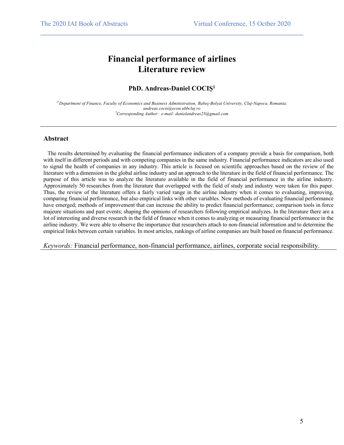## **Financial performance of airlines Literature review**

 $\mathcal{L}_\mathcal{L} = \{ \mathcal{L}_\mathcal{L} = \{ \mathcal{L}_\mathcal{L} = \{ \mathcal{L}_\mathcal{L} = \{ \mathcal{L}_\mathcal{L} = \{ \mathcal{L}_\mathcal{L} = \{ \mathcal{L}_\mathcal{L} = \{ \mathcal{L}_\mathcal{L} = \{ \mathcal{L}_\mathcal{L} = \{ \mathcal{L}_\mathcal{L} = \{ \mathcal{L}_\mathcal{L} = \{ \mathcal{L}_\mathcal{L} = \{ \mathcal{L}_\mathcal{L} = \{ \mathcal{L}_\mathcal{L} = \{ \mathcal{L}_\mathcal{$ 

#### **PhD. Andreas-Daniel COCIȘ1**

*1\*Department of Finance, Faculty of Economics and Business Administration, Babeş-Bolyai University, Cluj-Napoca, Romania; andreas.cocis@econ.ubbcluj.ro \* Corresponding Author: e-mail: danielandreas25@gmail.com*

#### **Abstract**

 The results determined by evaluating the financial performance indicators of a company provide a basis for comparison, both with itself in different periods and with competing companies in the same industry. Financial performance indicators are also used to signal the health of companies in any industry. This article is focused on scientific approaches based on the review of the literature with a dimension in the global airline industry and an approach to the literature in the field of financial performance. The purpose of this article was to analyze the literature available in the field of financial performance in the airline industry. Approximately 50 researches from the literature that overlapped with the field of study and industry were taken for this paper. Thus, the review of the literature offers a fairly varied range in the airline industry when it comes to evaluating, improving, comparing financial performance, but also empirical links with other variables. New methods of evaluating financial performance have emerged; methods of improvement that can increase the ability to predict financial performance; comparison tools in force majeure situations and past events; shaping the opinions of researchers following empirical analyzes. In the literature there are a lot of interesting and diverse research in the field of finance when it comes to analyzing or measuring financial performance in the airline industry. We were able to observe the importance that researchers attach to non-financial information and to determine the empirical links between certain variables. In most articles, rankings of airline companies are built based on financial performance.

*Keywords:* Financial performance, non-financial performance, airlines, corporate social responsibility.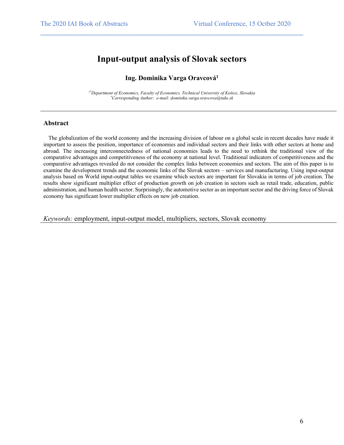### **Input-output analysis of Slovak sectors**

 $\mathcal{L}_\mathcal{L} = \{ \mathcal{L}_\mathcal{L} = \{ \mathcal{L}_\mathcal{L} = \{ \mathcal{L}_\mathcal{L} = \{ \mathcal{L}_\mathcal{L} = \{ \mathcal{L}_\mathcal{L} = \{ \mathcal{L}_\mathcal{L} = \{ \mathcal{L}_\mathcal{L} = \{ \mathcal{L}_\mathcal{L} = \{ \mathcal{L}_\mathcal{L} = \{ \mathcal{L}_\mathcal{L} = \{ \mathcal{L}_\mathcal{L} = \{ \mathcal{L}_\mathcal{L} = \{ \mathcal{L}_\mathcal{L} = \{ \mathcal{L}_\mathcal{$ 

### **Ing. Dominika Varga Oravcová1**

*1\*Department of Economics, Faculty of Economics, Technical University of Košice, Slovakia \* Corresponding Author: e-mail: dominika.varga.oravcova@tuke.sk*

#### **Abstract**

 The globalization of the world economy and the increasing division of labour on a global scale in recent decades have made it important to assess the position, importance of economies and individual sectors and their links with other sectors at home and abroad. The increasing interconnectedness of national economies leads to the need to rethink the traditional view of the comparative advantages and competitiveness of the economy at national level. Traditional indicators of competitiveness and the comparative advantages revealed do not consider the complex links between economies and sectors. The aim of this paper is to examine the development trends and the economic links of the Slovak sectors – services and manufacturing. Using input-output analysis based on World input-output tables we examine which sectors are important for Slovakia in terms of job creation. The results show significant multiplier effect of production growth on job creation in sectors such as retail trade, education, public administration, and human health sector. Surprisingly, the automotive sector as an important sector and the driving force of Slovak economy has significant lower multiplier effects on new job creation.

*Keywords:* employment, input-output model, multipliers, sectors, Slovak economy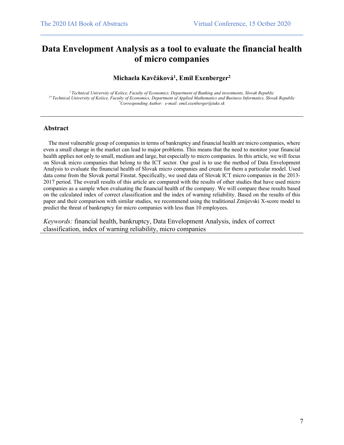## **Data Envelopment Analysis as a tool to evaluate the financial health of micro companies**

 $\mathcal{L}_\mathcal{L} = \{ \mathcal{L}_\mathcal{L} = \{ \mathcal{L}_\mathcal{L} = \{ \mathcal{L}_\mathcal{L} = \{ \mathcal{L}_\mathcal{L} = \{ \mathcal{L}_\mathcal{L} = \{ \mathcal{L}_\mathcal{L} = \{ \mathcal{L}_\mathcal{L} = \{ \mathcal{L}_\mathcal{L} = \{ \mathcal{L}_\mathcal{L} = \{ \mathcal{L}_\mathcal{L} = \{ \mathcal{L}_\mathcal{L} = \{ \mathcal{L}_\mathcal{L} = \{ \mathcal{L}_\mathcal{L} = \{ \mathcal{L}_\mathcal{$ 

### **Michaela Kavčáková1 , Emil Exenberger2**

*<sup>1</sup> Technical University of Košice, Faculty of Economics, Department of Banking and investments, Slovak Republic 2\* Technical University of Košice, Faculty of Economics, Department of Applied Mathematics and Business Informatics, Slovak Republic \* Corresponding Author: e-mail: emil.exenberger@tuke.sk*

#### **Abstract**

 The most vulnerable group of companies in terms of bankruptcy and financial health are micro companies, where even a small change in the market can lead to major problems. This means that the need to monitor your financial health applies not only to small, medium and large, but especially to micro companies. In this article, we will focus on Slovak micro companies that belong to the ICT sector. Our goal is to use the method of Data Envelopment Analysis to evaluate the financial health of Slovak micro companies and create for them a particular model. Used data come from the Slovak portal Finstat. Specifically, we used data of Slovak ICT micro companies in the 2013- 2017 period. The overall results of this article are compared with the results of other studies that have used micro companies as a sample when evaluating the financial health of the company. We will compare these results based on the calculated index of correct classification and the index of warning reliability. Based on the results of this paper and their comparison with similar studies, we recommend using the traditional Zmijevski X-score model to predict the threat of bankruptcy for micro companies with less than 10 employees.

*Keywords:* financial health, bankruptcy, Data Envelopment Analysis, index of correct classification, index of warning reliability, micro companies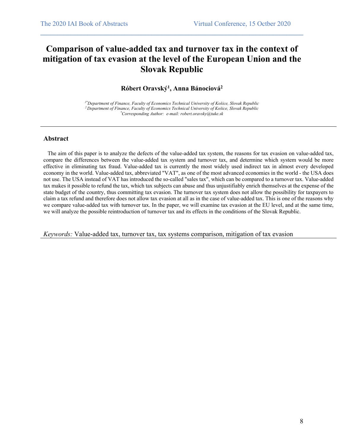## **Comparison of value-added tax and turnover tax in the context of mitigation of tax evasion at the level of the European Union and the Slovak Republic**

 $\mathcal{L}_\mathcal{L} = \{ \mathcal{L}_\mathcal{L} = \{ \mathcal{L}_\mathcal{L} = \{ \mathcal{L}_\mathcal{L} = \{ \mathcal{L}_\mathcal{L} = \{ \mathcal{L}_\mathcal{L} = \{ \mathcal{L}_\mathcal{L} = \{ \mathcal{L}_\mathcal{L} = \{ \mathcal{L}_\mathcal{L} = \{ \mathcal{L}_\mathcal{L} = \{ \mathcal{L}_\mathcal{L} = \{ \mathcal{L}_\mathcal{L} = \{ \mathcal{L}_\mathcal{L} = \{ \mathcal{L}_\mathcal{L} = \{ \mathcal{L}_\mathcal{$ 

### **Róbert Oravský1 , Anna Bánociová2**

*1\*Department of Finance, Faculty of Economics Technical University of Košice, Slovak Republic 2 Department of Finance, Faculty of Economics Technical University of Košice, Slovak Republic \* Corresponding Author: e-mail: robert.oravsky@tuke.sk*

#### **Abstract**

 The aim of this paper is to analyze the defects of the value-added tax system, the reasons for tax evasion on value-added tax, compare the differences between the value-added tax system and turnover tax, and determine which system would be more effective in eliminating tax fraud. Value-added tax is currently the most widely used indirect tax in almost every developed economy in the world. Value-added tax, abbreviated "VAT", as one of the most advanced economies in the world - the USA does not use. The USA instead of VAT has introduced the so-called "sales tax", which can be compared to a turnover tax. Value-added tax makes it possible to refund the tax, which tax subjects can abuse and thus unjustifiably enrich themselves at the expense of the state budget of the country, thus committing tax evasion. The turnover tax system does not allow the possibility for taxpayers to claim a tax refund and therefore does not allow tax evasion at all as in the case of value-added tax. This is one of the reasons why we compare value-added tax with turnover tax. In the paper, we will examine tax evasion at the EU level, and at the same time, we will analyze the possible reintroduction of turnover tax and its effects in the conditions of the Slovak Republic.

*Keywords:* Value-added tax, turnover tax, tax systems comparison, mitigation of tax evasion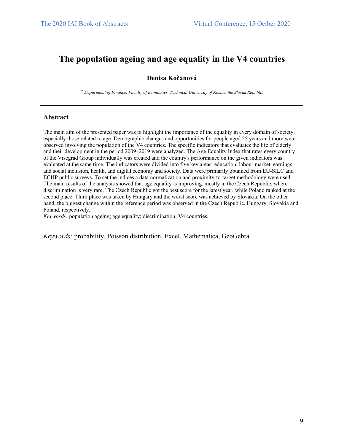## **The population ageing and age equality in the V4 countries**

 $\mathcal{L}_\mathcal{L} = \{ \mathcal{L}_\mathcal{L} = \{ \mathcal{L}_\mathcal{L} = \{ \mathcal{L}_\mathcal{L} = \{ \mathcal{L}_\mathcal{L} = \{ \mathcal{L}_\mathcal{L} = \{ \mathcal{L}_\mathcal{L} = \{ \mathcal{L}_\mathcal{L} = \{ \mathcal{L}_\mathcal{L} = \{ \mathcal{L}_\mathcal{L} = \{ \mathcal{L}_\mathcal{L} = \{ \mathcal{L}_\mathcal{L} = \{ \mathcal{L}_\mathcal{L} = \{ \mathcal{L}_\mathcal{L} = \{ \mathcal{L}_\mathcal{$ 

### **Denisa Kočanová**

*1\* Department of Finance, Faculty of Economics, Technical University of Košice, the Slovak Republic*

#### **Abstract**

The main aim of the presented paper was to highlight the importance of the equality in every domain of society, especially those related to age. Demographic changes and opportunities for people aged 55 years and more were observed involving the population of the V4 countries. The specific indicators that evaluates the life of elderly and their development in the period 2009–2019 were analyzed. The Age Equality Index that rates every country of the Visegrad Group individually was created and the country's performance on the given indicators was evaluated at the same time. The indicators were divided into five key areas: education, labour market, earnings and social inclusion, health, and digital economy and society. Data were primarily obtained from EU-SILC and ECHP public surveys. To set the indices a data normalization and proximity-to-target methodology were used. The main results of the analysis showed that age equality is improving, mostly in the Czech Republic, where discrimination is very rare. The Czech Republic got the best score for the latest year, while Poland ranked at the second place. Third place was taken by Hungary and the worst score was achieved by Slovakia. On the other hand, the biggest change within the reference period was observed in the Czech Republic, Hungary, Slovakia and Poland, respectively.

*Keywords:* population ageing; age equality; discrimination; V4 countries.

*Keywords:* probability, Poisson distribution, Excel, Mathematica, GeoGebra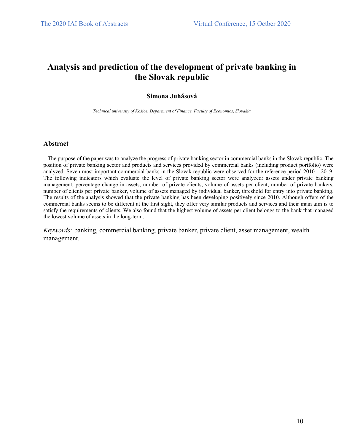## **Analysis and prediction of the development of private banking in the Slovak republic**

 $\mathcal{L}_\mathcal{L} = \{ \mathcal{L}_\mathcal{L} = \{ \mathcal{L}_\mathcal{L} = \{ \mathcal{L}_\mathcal{L} = \{ \mathcal{L}_\mathcal{L} = \{ \mathcal{L}_\mathcal{L} = \{ \mathcal{L}_\mathcal{L} = \{ \mathcal{L}_\mathcal{L} = \{ \mathcal{L}_\mathcal{L} = \{ \mathcal{L}_\mathcal{L} = \{ \mathcal{L}_\mathcal{L} = \{ \mathcal{L}_\mathcal{L} = \{ \mathcal{L}_\mathcal{L} = \{ \mathcal{L}_\mathcal{L} = \{ \mathcal{L}_\mathcal{$ 

#### **Simona Juhásová**

*Technical university of Košice, Department of Finance, Faculty of Economics, Slovakia*

#### **Abstract**

 The purpose of the paper was to analyze the progress of private banking sector in commercial banks in the Slovak republic. The position of private banking sector and products and services provided by commercial banks (including product portfolio) were analyzed. Seven most important commercial banks in the Slovak republic were observed for the reference period 2010 – 2019. The following indicators which evaluate the level of private banking sector were analyzed: assets under private banking management, percentage change in assets, number of private clients, volume of assets per client, number of private bankers, number of clients per private banker, volume of assets managed by individual banker, threshold for entry into private banking. The results of the analysis showed that the private banking has been developing positively since 2010. Although offers of the commercial banks seems to be different at the first sight, they offer very similar products and services and their main aim is to satisfy the requirements of clients. We also found that the highest volume of assets per client belongs to the bank that managed the lowest volume of assets in the long-term.

*Keywords:* banking, commercial banking, private banker, private client, asset management, wealth management.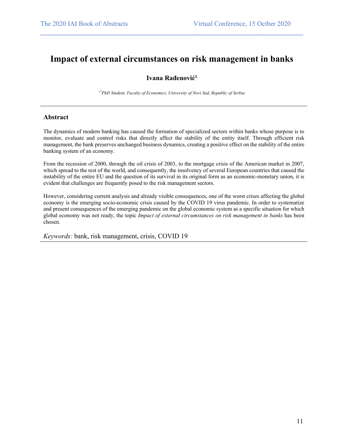### **Impact of external circumstances on risk management in banks**

 $\mathcal{L}_\mathcal{L} = \{ \mathcal{L}_\mathcal{L} = \{ \mathcal{L}_\mathcal{L} = \{ \mathcal{L}_\mathcal{L} = \{ \mathcal{L}_\mathcal{L} = \{ \mathcal{L}_\mathcal{L} = \{ \mathcal{L}_\mathcal{L} = \{ \mathcal{L}_\mathcal{L} = \{ \mathcal{L}_\mathcal{L} = \{ \mathcal{L}_\mathcal{L} = \{ \mathcal{L}_\mathcal{L} = \{ \mathcal{L}_\mathcal{L} = \{ \mathcal{L}_\mathcal{L} = \{ \mathcal{L}_\mathcal{L} = \{ \mathcal{L}_\mathcal{$ 

### **Ivana Rađenović1**

*1\*PhD Student, Faculty of Economics, University of Novi Sad, Republic of Serbia*

#### **Abstract**

The dynamics of modern banking has caused the formation of specialized sectors within banks whose purpose is to monitor, evaluate and control risks that directly affect the stability of the entity itself. Through efficient risk management, the bank preserves unchanged business dynamics, creating a positive effect on the stability of the entire banking system of an economy.

From the recession of 2000, through the oil crisis of 2003, to the mortgage crisis of the American market in 2007, which spread to the rest of the world, and consequently, the insolvency of several European countries that caused the instability of the entire EU and the question of its survival in its original form as an economic-monetary union, it is evident that challenges are frequently posed to the risk management sectors.

However, considering current analysis and already visible consequences, one of the worst crises affecting the global economy is the emerging socio-economic crisis caused by the COVID 19 virus pandemic. In order to systematize and present consequences of the emerging pandemic on the global economic system as a specific situation for which global economy was not ready, the topic *Impact of external circumstances on risk management in banks* has been chosen.

*Keywords:* bank, risk management, crisis, COVID 19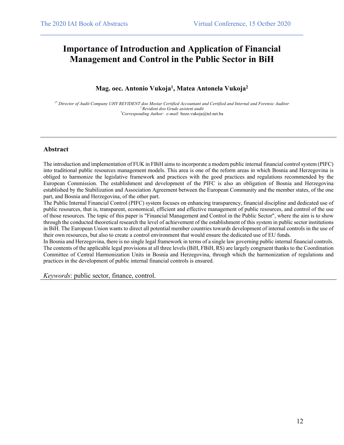## **Importance of Introduction and Application of Financial Management and Control in the Public Sector in BiH**

 $\mathcal{L}_\mathcal{L} = \{ \mathcal{L}_\mathcal{L} = \{ \mathcal{L}_\mathcal{L} = \{ \mathcal{L}_\mathcal{L} = \{ \mathcal{L}_\mathcal{L} = \{ \mathcal{L}_\mathcal{L} = \{ \mathcal{L}_\mathcal{L} = \{ \mathcal{L}_\mathcal{L} = \{ \mathcal{L}_\mathcal{L} = \{ \mathcal{L}_\mathcal{L} = \{ \mathcal{L}_\mathcal{L} = \{ \mathcal{L}_\mathcal{L} = \{ \mathcal{L}_\mathcal{L} = \{ \mathcal{L}_\mathcal{L} = \{ \mathcal{L}_\mathcal{$ 

### **Mag. oec. Antonio Vukoja1 , Matea Antonela Vukoja2**

*1\* Director of Audit Company UHY REVIDENT doo Mostar Certified Accountant and Certified and Internal and Forensic Auditor 2 Revident doo Grude asistent audit \* Corresponding Author: e-mail:* bozo.vukoja@tel.net.ba

#### **Abstract**

The introduction and implementation of FUK in FBiH aims to incorporate a modern public internal financial control system (PIFC) into traditional public resources management models. This area is one of the reform areas in which Bosnia and Herzegovina is obliged to harmonize the legislative framework and practices with the good practices and regulations recommended by the European Commission. The establishment and development of the PIFC is also an obligation of Bosnia and Herzegovina established by the Stabilization and Association Agreement between the European Community and the member states, of the one part, and Bosnia and Herzegovina, of the other part.

The Public Internal Financial Control (PIFC) system focuses on enhancing transparency, financial discipline and dedicated use of public resources, that is, transparent, economical, efficient and effective management of public resources, and control of the use of those resources. The topic of this paper is "Financial Management and Control in the Public Sector", where the aim is to show through the conducted theoretical research the level of achievement of the establishment of this system in public sector institutions in BiH. The European Union wants to direct all potential member countries towards development of internal controls in the use of their own resources, but also to create a control environment that would ensure the dedicated use of EU funds.

In Bosnia and Herzegovina, there is no single legal framework in terms of a single law governing public internal financial controls. The contents of the applicable legal provisions at all three levels (BiH, FBiH, RS) are largely congruent thanks to the Coordination Committee of Central Harmonization Units in Bosnia and Herzegovina, through which the harmonization of regulations and practices in the development of public internal financial controls is ensured.

*Keywords*: public sector, finance, control.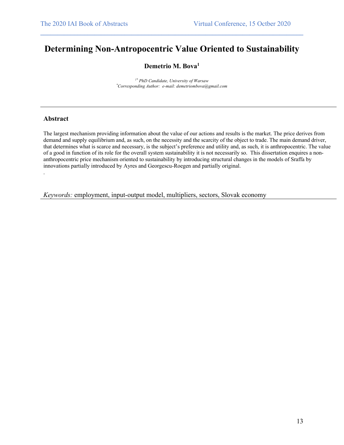## **Determining Non-Antropocentric Value Oriented to Sustainability**

 $\mathcal{L}_\mathcal{L} = \{ \mathcal{L}_\mathcal{L} = \{ \mathcal{L}_\mathcal{L} = \{ \mathcal{L}_\mathcal{L} = \{ \mathcal{L}_\mathcal{L} = \{ \mathcal{L}_\mathcal{L} = \{ \mathcal{L}_\mathcal{L} = \{ \mathcal{L}_\mathcal{L} = \{ \mathcal{L}_\mathcal{L} = \{ \mathcal{L}_\mathcal{L} = \{ \mathcal{L}_\mathcal{L} = \{ \mathcal{L}_\mathcal{L} = \{ \mathcal{L}_\mathcal{L} = \{ \mathcal{L}_\mathcal{L} = \{ \mathcal{L}_\mathcal{$ 

### **Demetrio M. Bova1**

*1\* PhD Candidate, University of Warsaw \* Corresponding Author: e-mail: demetriombova@gmail.com*

#### **Abstract**

.

The largest mechanism providing information about the value of our actions and results is the market. The price derives from demand and supply equilibrium and, as such, on the necessity and the scarcity of the object to trade. The main demand driver, that determines what is scarce and necessary, is the subject's preference and utility and, as such, it is anthropocentric. The value of a good in function of its role for the overall system sustainability it is not necessarily so. This dissertation enquires a nonanthropocentric price mechanism oriented to sustainability by introducing structural changes in the models of Sraffa by innovations partially introduced by Ayres and Georgescu-Roegen and partially original.

*Keywords:* employment, input-output model, multipliers, sectors, Slovak economy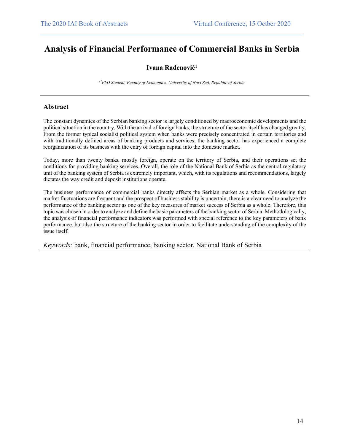## **Analysis of Financial Performance of Commercial Banks in Serbia**

 $\mathcal{L}_\mathcal{L} = \{ \mathcal{L}_\mathcal{L} = \{ \mathcal{L}_\mathcal{L} = \{ \mathcal{L}_\mathcal{L} = \{ \mathcal{L}_\mathcal{L} = \{ \mathcal{L}_\mathcal{L} = \{ \mathcal{L}_\mathcal{L} = \{ \mathcal{L}_\mathcal{L} = \{ \mathcal{L}_\mathcal{L} = \{ \mathcal{L}_\mathcal{L} = \{ \mathcal{L}_\mathcal{L} = \{ \mathcal{L}_\mathcal{L} = \{ \mathcal{L}_\mathcal{L} = \{ \mathcal{L}_\mathcal{L} = \{ \mathcal{L}_\mathcal{$ 

### **Ivana Rađenović1**

*1\*PhD Student, Faculty of Economics, University of Novi Sad, Republic of Serbia*

#### **Abstract**

The constant dynamics of the Serbian banking sector is largely conditioned by macroeconomic developments and the political situation in the country. With the arrival of foreign banks, the structure of the sector itself has changed greatly. From the former typical socialist political system when banks were precisely concentrated in certain territories and with traditionally defined areas of banking products and services, the banking sector has experienced a complete reorganization of its business with the entry of foreign capital into the domestic market.

Today, more than twenty banks, mostly foreign, operate on the territory of Serbia, and their operations set the conditions for providing banking services. Overall, the role of the National Bank of Serbia as the central regulatory unit of the banking system of Serbia is extremely important, which, with its regulations and recommendations, largely dictates the way credit and deposit institutions operate.

The business performance of commercial banks directly affects the Serbian market as a whole. Considering that market fluctuations are frequent and the prospect of business stability is uncertain, there is a clear need to analyze the performance of the banking sector as one of the key measures of market success of Serbia as a whole. Therefore, this topic was chosen in order to analyze and define the basic parameters of the banking sector of Serbia. Methodologically, the analysis of financial performance indicators was performed with special reference to the key parameters of bank performance, but also the structure of the banking sector in order to facilitate understanding of the complexity of the issue itself.

*Keywords:* bank, financial performance, banking sector, National Bank of Serbia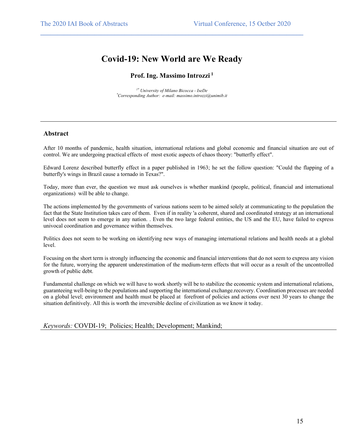## **Covid-19: New World are We Ready**

 $\mathcal{L}_\mathcal{L} = \{ \mathcal{L}_\mathcal{L} = \{ \mathcal{L}_\mathcal{L} = \{ \mathcal{L}_\mathcal{L} = \{ \mathcal{L}_\mathcal{L} = \{ \mathcal{L}_\mathcal{L} = \{ \mathcal{L}_\mathcal{L} = \{ \mathcal{L}_\mathcal{L} = \{ \mathcal{L}_\mathcal{L} = \{ \mathcal{L}_\mathcal{L} = \{ \mathcal{L}_\mathcal{L} = \{ \mathcal{L}_\mathcal{L} = \{ \mathcal{L}_\mathcal{L} = \{ \mathcal{L}_\mathcal{L} = \{ \mathcal{L}_\mathcal{$ 

### **Prof. Ing. Massimo Introzzi <sup>1</sup>**

*1\* University of Milano Bicocca - IseDe \* Corresponding Author: e-mail: massimo.introzzi@unimib.it*

#### **Abstract**

After 10 months of pandemic, health situation, international relations and global economic and financial situation are out of control. We are undergoing practical effects of most exotic aspects of chaos theory: "butterfly effect".

Edward Lorenz described butterfly effect in a paper published in 1963; he set the follow question: "Could the flapping of a butterfly's wings in Brazil cause a tornado in Texas?".

Today, more than ever, the question we must ask ourselves is whether mankind (people, political, financial and international organizations) will be able to change.

The actions implemented by the governments of various nations seem to be aimed solely at communicating to the population the fact that the State Institution takes care of them. Even if in reality 'a coherent, shared and coordinated strategy at an international level does not seem to emerge in any nation. . Even the two large federal entities, the US and the EU, have failed to express univocal coordination and governance within themselves.

Politics does not seem to be working on identifying new ways of managing international relations and health needs at a global level.

Focusing on the short term is strongly influencing the economic and financial interventions that do not seem to express any vision for the future, worrying the apparent underestimation of the medium-term effects that will occur as a result of the uncontrolled growth of public debt.

Fundamental challenge on which we will have to work shortly will be to stabilize the economic system and international relations, guaranteeing well-being to the populations and supporting the international exchange.recovery. Coordination processes are needed on a global level; environment and health must be placed at forefront of policies and actions over next 30 years to change the situation definitively. All this is worth the irreversible decline of civilization as we know it today.

*Keywords:* COVDI-19; Policies; Health; Development; Mankind;